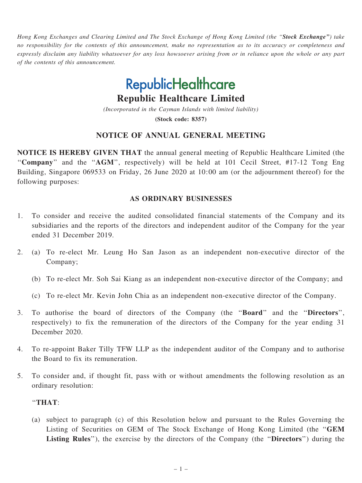Hong Kong Exchanges and Clearing Limited and The Stock Exchange of Hong Kong Limited (the "Stock Exchange") take no responsibility for the contents of this announcement, make no representation as to its accuracy or completeness and expressly disclaim any liability whatsoever for any loss howsoever arising from or in reliance upon the whole or any part of the contents of this announcement.

# **RepublicHealthcare**

Republic Healthcare Limited

(Incorporated in the Cayman Islands with limited liability) (Stock code: 8357)

## NOTICE OF ANNUAL GENERAL MEETING

NOTICE IS HEREBY GIVEN THAT the annual general meeting of Republic Healthcare Limited (the "Company" and the "AGM", respectively) will be held at 101 Cecil Street, #17-12 Tong Eng Building, Singapore 069533 on Friday, 26 June 2020 at 10:00 am (or the adjournment thereof) for the following purposes:

### AS ORDINARY BUSINESSES

- 1. To consider and receive the audited consolidated financial statements of the Company and its subsidiaries and the reports of the directors and independent auditor of the Company for the year ended 31 December 2019.
- 2. (a) To re-elect Mr. Leung Ho San Jason as an independent non-executive director of the Company;
	- (b) To re-elect Mr. Soh Sai Kiang as an independent non-executive director of the Company; and
	- (c) To re-elect Mr. Kevin John Chia as an independent non-executive director of the Company.
- 3. To authorise the board of directors of the Company (the ''Board'' and the ''Directors'', respectively) to fix the remuneration of the directors of the Company for the year ending 31 December 2020.
- 4. To re-appoint Baker Tilly TFW LLP as the independent auditor of the Company and to authorise the Board to fix its remuneration.
- 5. To consider and, if thought fit, pass with or without amendments the following resolution as an ordinary resolution:

#### ''THAT:

(a) subject to paragraph (c) of this Resolution below and pursuant to the Rules Governing the Listing of Securities on GEM of The Stock Exchange of Hong Kong Limited (the ''GEM Listing Rules"), the exercise by the directors of the Company (the "Directors") during the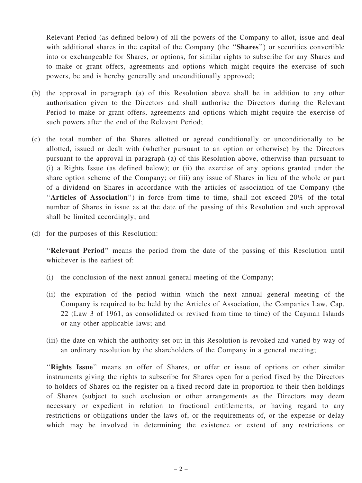Relevant Period (as defined below) of all the powers of the Company to allot, issue and deal with additional shares in the capital of the Company (the "**Shares**") or securities convertible into or exchangeable for Shares, or options, for similar rights to subscribe for any Shares and to make or grant offers, agreements and options which might require the exercise of such powers, be and is hereby generally and unconditionally approved;

- (b) the approval in paragraph (a) of this Resolution above shall be in addition to any other authorisation given to the Directors and shall authorise the Directors during the Relevant Period to make or grant offers, agreements and options which might require the exercise of such powers after the end of the Relevant Period;
- (c) the total number of the Shares allotted or agreed conditionally or unconditionally to be allotted, issued or dealt with (whether pursuant to an option or otherwise) by the Directors pursuant to the approval in paragraph (a) of this Resolution above, otherwise than pursuant to (i) a Rights Issue (as defined below); or (ii) the exercise of any options granted under the share option scheme of the Company; or (iii) any issue of Shares in lieu of the whole or part of a dividend on Shares in accordance with the articles of association of the Company (the ''Articles of Association'') in force from time to time, shall not exceed 20% of the total number of Shares in issue as at the date of the passing of this Resolution and such approval shall be limited accordingly; and
- (d) for the purposes of this Resolution:

''Relevant Period'' means the period from the date of the passing of this Resolution until whichever is the earliest of:

- (i) the conclusion of the next annual general meeting of the Company;
- (ii) the expiration of the period within which the next annual general meeting of the Company is required to be held by the Articles of Association, the Companies Law, Cap. 22 (Law 3 of 1961, as consolidated or revised from time to time) of the Cayman Islands or any other applicable laws; and
- (iii) the date on which the authority set out in this Resolution is revoked and varied by way of an ordinary resolution by the shareholders of the Company in a general meeting;

"Rights Issue" means an offer of Shares, or offer or issue of options or other similar instruments giving the rights to subscribe for Shares open for a period fixed by the Directors to holders of Shares on the register on a fixed record date in proportion to their then holdings of Shares (subject to such exclusion or other arrangements as the Directors may deem necessary or expedient in relation to fractional entitlements, or having regard to any restrictions or obligations under the laws of, or the requirements of, or the expense or delay which may be involved in determining the existence or extent of any restrictions or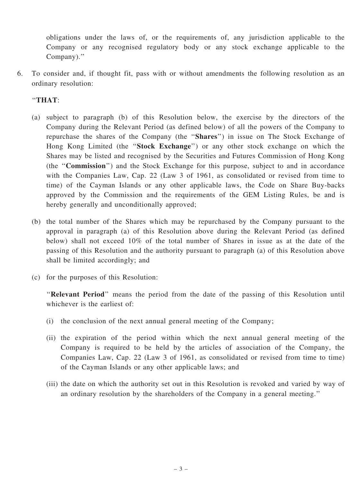obligations under the laws of, or the requirements of, any jurisdiction applicable to the Company or any recognised regulatory body or any stock exchange applicable to the Company).''

6. To consider and, if thought fit, pass with or without amendments the following resolution as an ordinary resolution:

## ''THAT:

- (a) subject to paragraph (b) of this Resolution below, the exercise by the directors of the Company during the Relevant Period (as defined below) of all the powers of the Company to repurchase the shares of the Company (the ''Shares'') in issue on The Stock Exchange of Hong Kong Limited (the "Stock Exchange") or any other stock exchange on which the Shares may be listed and recognised by the Securities and Futures Commission of Hong Kong (the ''Commission'') and the Stock Exchange for this purpose, subject to and in accordance with the Companies Law, Cap. 22 (Law 3 of 1961, as consolidated or revised from time to time) of the Cayman Islands or any other applicable laws, the Code on Share Buy-backs approved by the Commission and the requirements of the GEM Listing Rules, be and is hereby generally and unconditionally approved;
- (b) the total number of the Shares which may be repurchased by the Company pursuant to the approval in paragraph (a) of this Resolution above during the Relevant Period (as defined below) shall not exceed 10% of the total number of Shares in issue as at the date of the passing of this Resolution and the authority pursuant to paragraph (a) of this Resolution above shall be limited accordingly; and
- (c) for the purposes of this Resolution:

''Relevant Period'' means the period from the date of the passing of this Resolution until whichever is the earliest of:

- (i) the conclusion of the next annual general meeting of the Company;
- (ii) the expiration of the period within which the next annual general meeting of the Company is required to be held by the articles of association of the Company, the Companies Law, Cap. 22 (Law 3 of 1961, as consolidated or revised from time to time) of the Cayman Islands or any other applicable laws; and
- (iii) the date on which the authority set out in this Resolution is revoked and varied by way of an ordinary resolution by the shareholders of the Company in a general meeting.''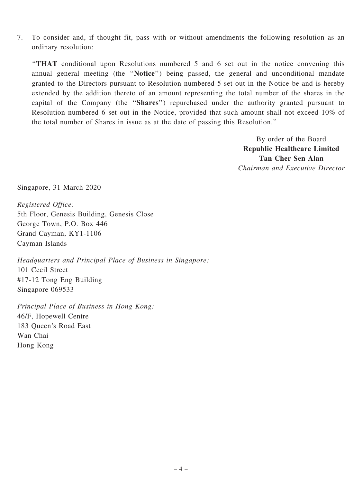7. To consider and, if thought fit, pass with or without amendments the following resolution as an ordinary resolution:

''THAT conditional upon Resolutions numbered 5 and 6 set out in the notice convening this annual general meeting (the ''Notice'') being passed, the general and unconditional mandate granted to the Directors pursuant to Resolution numbered 5 set out in the Notice be and is hereby extended by the addition thereto of an amount representing the total number of the shares in the capital of the Company (the ''Shares'') repurchased under the authority granted pursuant to Resolution numbered 6 set out in the Notice, provided that such amount shall not exceed 10% of the total number of Shares in issue as at the date of passing this Resolution.''

> By order of the Board Republic Healthcare Limited Tan Cher Sen Alan Chairman and Executive Director

Singapore, 31 March 2020

Registered Office: 5th Floor, Genesis Building, Genesis Close George Town, P.O. Box 446 Grand Cayman, KY1-1106 Cayman Islands

Headquarters and Principal Place of Business in Singapore: 101 Cecil Street #17-12 Tong Eng Building Singapore 069533

Principal Place of Business in Hong Kong: 46/F, Hopewell Centre 183 Queen's Road East Wan Chai Hong Kong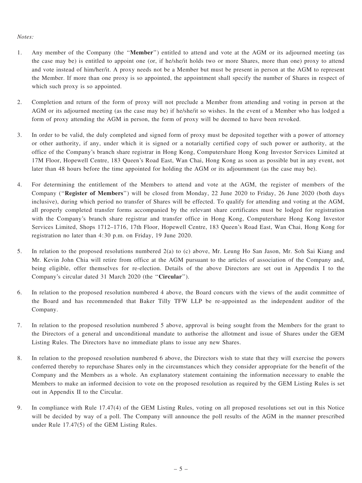#### Notes:

- 1. Any member of the Company (the ''Member'') entitled to attend and vote at the AGM or its adjourned meeting (as the case may be) is entitled to appoint one (or, if he/she/it holds two or more Shares, more than one) proxy to attend and vote instead of him/her/it. A proxy needs not be a Member but must be present in person at the AGM to represent the Member. If more than one proxy is so appointed, the appointment shall specify the number of Shares in respect of which such proxy is so appointed.
- 2. Completion and return of the form of proxy will not preclude a Member from attending and voting in person at the AGM or its adjourned meeting (as the case may be) if he/she/it so wishes. In the event of a Member who has lodged a form of proxy attending the AGM in person, the form of proxy will be deemed to have been revoked.
- 3. In order to be valid, the duly completed and signed form of proxy must be deposited together with a power of attorney or other authority, if any, under which it is signed or a notarially certified copy of such power or authority, at the office of the Company's branch share registrar in Hong Kong, Computershare Hong Kong Investor Services Limited at 17M Floor, Hopewell Centre, 183 Queen's Road East, Wan Chai, Hong Kong as soon as possible but in any event, not later than 48 hours before the time appointed for holding the AGM or its adjournment (as the case may be).
- 4. For determining the entitlement of the Members to attend and vote at the AGM, the register of members of the Company (''Register of Members'') will be closed from Monday, 22 June 2020 to Friday, 26 June 2020 (both days inclusive), during which period no transfer of Shares will be effected. To qualify for attending and voting at the AGM, all properly completed transfer forms accompanied by the relevant share certificates must be lodged for registration with the Company's branch share registrar and transfer office in Hong Kong, Computershare Hong Kong Investor Services Limited, Shops 1712–1716, 17th Floor, Hopewell Centre, 183 Queen's Road East, Wan Chai, Hong Kong for registration no later than 4:30 p.m. on Friday, 19 June 2020.
- 5. In relation to the proposed resolutions numbered 2(a) to (c) above, Mr. Leung Ho San Jason, Mr. Soh Sai Kiang and Mr. Kevin John Chia will retire from office at the AGM pursuant to the articles of association of the Company and, being eligible, offer themselves for re-election. Details of the above Directors are set out in Appendix I to the Company's circular dated 31 March 2020 (the ''Circular'').
- 6. In relation to the proposed resolution numbered 4 above, the Board concurs with the views of the audit committee of the Board and has recommended that Baker Tilly TFW LLP be re-appointed as the independent auditor of the Company.
- 7. In relation to the proposed resolution numbered 5 above, approval is being sought from the Members for the grant to the Directors of a general and unconditional mandate to authorise the allotment and issue of Shares under the GEM Listing Rules. The Directors have no immediate plans to issue any new Shares.
- 8. In relation to the proposed resolution numbered 6 above, the Directors wish to state that they will exercise the powers conferred thereby to repurchase Shares only in the circumstances which they consider appropriate for the benefit of the Company and the Members as a whole. An explanatory statement containing the information necessary to enable the Members to make an informed decision to vote on the proposed resolution as required by the GEM Listing Rules is set out in Appendix II to the Circular.
- 9. In compliance with Rule 17.47(4) of the GEM Listing Rules, voting on all proposed resolutions set out in this Notice will be decided by way of a poll. The Company will announce the poll results of the AGM in the manner prescribed under Rule 17.47(5) of the GEM Listing Rules.